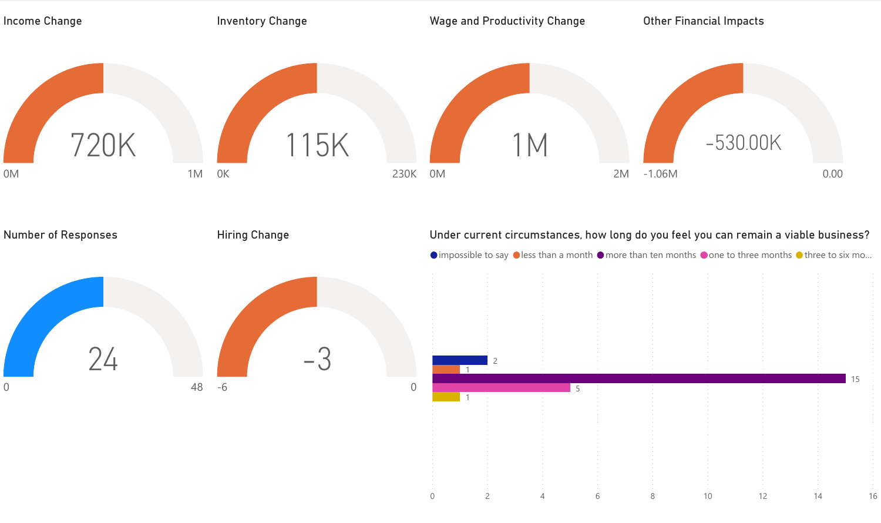